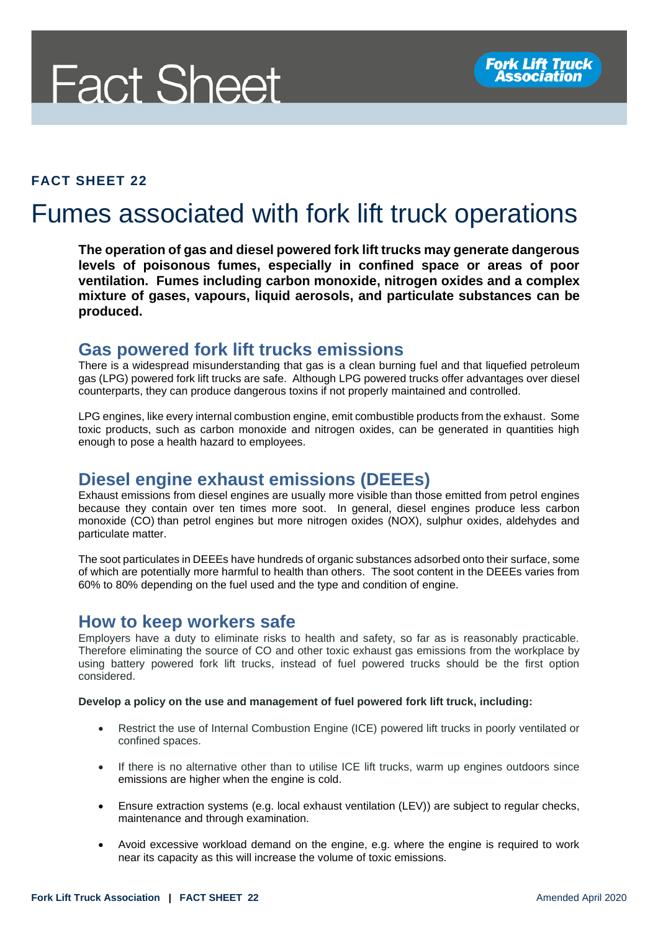# **Fact Sheet**

#### **FACT SHEET 22**

# Fumes associated with fork lift truck operations

**The operation of gas and diesel powered fork lift trucks may generate dangerous levels of poisonous fumes, especially in confined space or areas of poor ventilation. Fumes including carbon monoxide, nitrogen oxides and a complex mixture of gases, vapours, liquid aerosols, and particulate substances can be produced.**

#### **Gas powered fork lift trucks emissions**

There is a widespread misunderstanding that gas is a clean burning fuel and that liquefied petroleum gas (LPG) powered fork lift trucks are safe. Although LPG powered trucks offer advantages over diesel counterparts, they can produce dangerous toxins if not properly maintained and controlled.

LPG engines, like every internal combustion engine, emit combustible products from the exhaust. Some toxic products, such as carbon monoxide and nitrogen oxides, can be generated in quantities high enough to pose a health hazard to employees.

# **Diesel engine exhaust emissions (DEEEs)**

Exhaust emissions from diesel engines are usually more visible than those emitted from petrol engines because they contain over ten times more soot. In general, diesel engines produce less carbon monoxide (CO) than petrol engines but more nitrogen oxides (NOX), sulphur oxides, aldehydes and particulate matter.

The soot particulates in DEEEs have hundreds of organic substances adsorbed onto their surface, some of which are potentially more harmful to health than others. The soot content in the DEEEs varies from 60% to 80% depending on the fuel used and the type and condition of engine.

#### **How to keep workers safe**

Employers have a duty to eliminate risks to health and safety, so far as is reasonably practicable. Therefore eliminating the source of CO and other toxic exhaust gas emissions from the workplace by using battery powered fork lift trucks, instead of fuel powered trucks should be the first option considered.

#### **Develop a policy on the use and management of fuel powered fork lift truck, including:**

- Restrict the use of Internal Combustion Engine (ICE) powered lift trucks in poorly ventilated or confined spaces.
- If there is no alternative other than to utilise ICE lift trucks, warm up engines outdoors since emissions are higher when the engine is cold.
- Ensure extraction systems (e.g. local exhaust ventilation (LEV)) are subject to regular checks, maintenance and through examination.
- Avoid excessive workload demand on the engine, e.g. where the engine is required to work near its capacity as this will increase the volume of toxic emissions.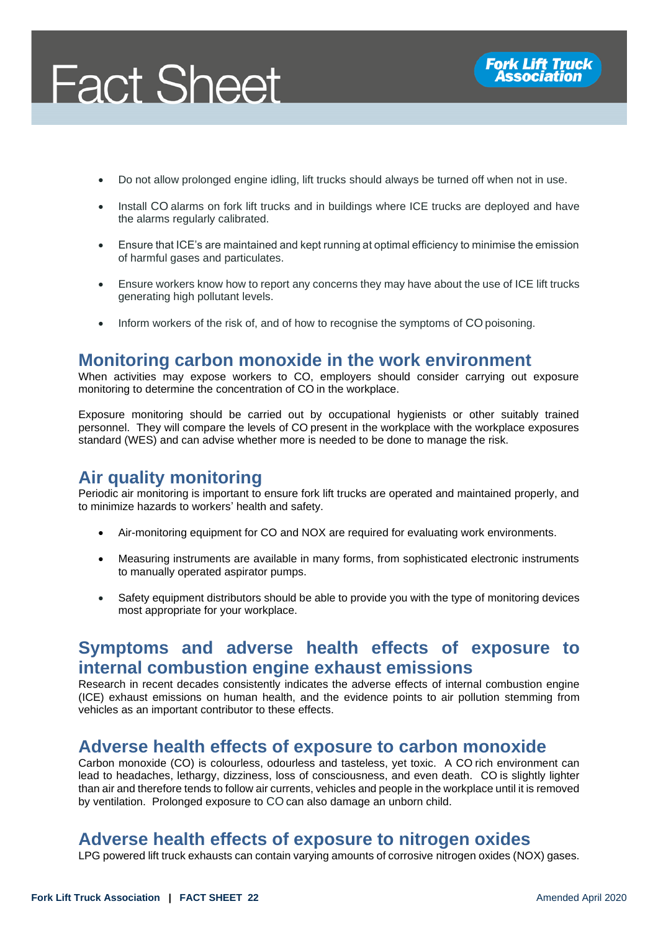

- Do not allow prolonged engine idling, lift trucks should always be turned off when not in use.
- Install CO alarms on fork lift trucks and in buildings where ICE trucks are deployed and have the alarms regularly calibrated.
- Ensure that ICE's are maintained and kept running at optimal efficiency to minimise the emission of harmful gases and particulates.
- Ensure workers know how to report any concerns they may have about the use of ICE lift trucks generating high pollutant levels.
- Inform workers of the risk of, and of how to recognise the symptoms of CO poisoning.

## **Monitoring carbon monoxide in the work environment**

When activities may expose workers to CO, employers should consider carrying out exposure monitoring to determine the concentration of CO in the workplace.

Exposure monitoring should be carried out by occupational hygienists or other suitably trained personnel. They will compare the levels of CO present in the workplace with the workplace exposures standard (WES) and can advise whether more is needed to be done to manage the risk.

# **Air quality monitoring**

Periodic air monitoring is important to ensure fork lift trucks are operated and maintained properly, and to minimize hazards to workers' health and safety.

- Air-monitoring equipment for CO and NOX are required for evaluating work environments.
- Measuring instruments are available in many forms, from sophisticated electronic instruments to manually operated aspirator pumps.
- Safety equipment distributors should be able to provide you with the type of monitoring devices most appropriate for your workplace.

#### **Symptoms and adverse health effects of exposure to internal combustion engine exhaust emissions**

Research in recent decades consistently indicates the adverse effects of internal combustion engine (ICE) exhaust emissions on human health, and the evidence points to air pollution stemming from vehicles as an important contributor to these effects.

#### **Adverse health effects of exposure to carbon monoxide**

Carbon monoxide (CO) is colourless, odourless and tasteless, yet toxic. A CO rich environment can lead to headaches, lethargy, dizziness, loss of consciousness, and even death. CO is slightly lighter than air and therefore tends to follow air currents, vehicles and people in the workplace until it is removed by ventilation. Prolonged exposure to CO can also damage an unborn child.

## **Adverse health effects of exposure to nitrogen oxides**

LPG powered lift truck exhausts can contain varying amounts of corrosive nitrogen oxides (NOX) gases.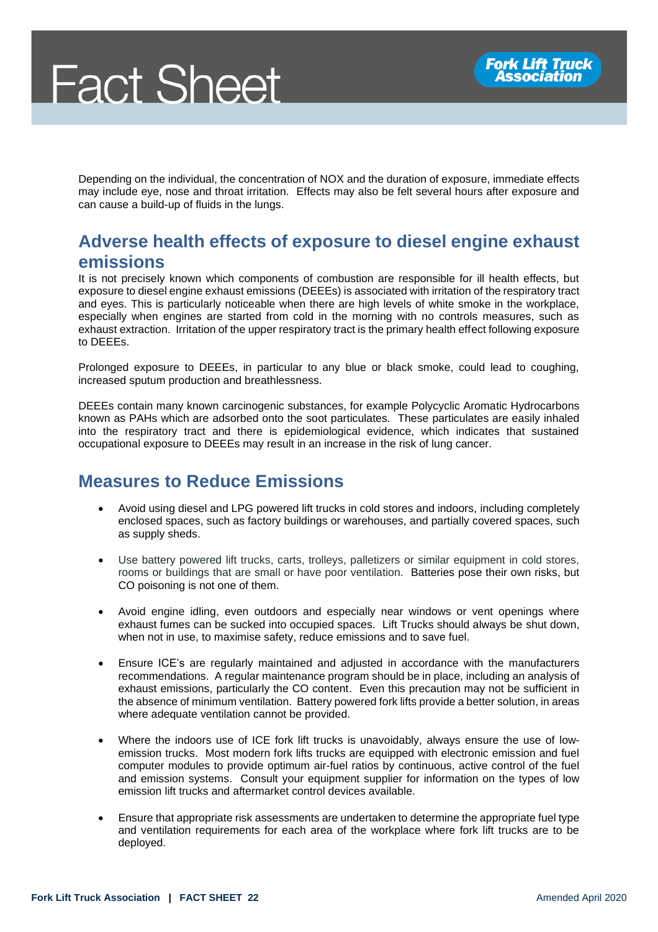Depending on the individual, the concentration of NOX and the duration of exposure, immediate effects may include eye, nose and throat irritation. Effects may also be felt several hours after exposure and can cause a build-up of fluids in the lungs.

# **Adverse health effects of exposure to diesel engine exhaust emissions**

It is not precisely known which components of combustion are responsible for ill health effects, but exposure to diesel engine exhaust emissions (DEEEs) is associated with irritation of the respiratory tract and eyes. This is particularly noticeable when there are high levels of white smoke in the workplace, especially when engines are started from cold in the morning with no controls measures, such as exhaust extraction. Irritation of the upper respiratory tract is the primary health effect following exposure to DEEEs.

Prolonged exposure to DEEEs, in particular to any blue or black smoke, could lead to coughing, increased sputum production and breathlessness.

DEEEs contain many known carcinogenic substances, for example Polycyclic Aromatic Hydrocarbons known as PAHs which are adsorbed onto the soot particulates. These particulates are easily inhaled into the respiratory tract and there is epidemiological evidence, which indicates that sustained occupational exposure to DEEEs may result in an increase in the risk of lung cancer.

# **Measures to Reduce Emissions**

- Avoid using diesel and LPG powered lift trucks in cold stores and indoors, including completely enclosed spaces, such as factory buildings or warehouses, and partially covered spaces, such as supply sheds.
- Use battery powered lift trucks, carts, trolleys, palletizers or similar equipment in cold stores, rooms or buildings that are small or have poor ventilation. Batteries pose their own risks, but CO poisoning is not one of them.
- Avoid engine idling, even outdoors and especially near windows or vent openings where exhaust fumes can be sucked into occupied spaces. Lift Trucks should always be shut down, when not in use, to maximise safety, reduce emissions and to save fuel.
- Ensure ICE's are regularly maintained and adjusted in accordance with the manufacturers recommendations. A regular maintenance program should be in place, including an analysis of exhaust emissions, particularly the CO content. Even this precaution may not be sufficient in the absence of minimum ventilation. Battery powered fork lifts provide a better solution, in areas where adequate ventilation cannot be provided.
- Where the indoors use of ICE fork lift trucks is unavoidably, always ensure the use of lowemission trucks. Most modern fork lifts trucks are equipped with electronic emission and fuel computer modules to provide optimum air-fuel ratios by continuous, active control of the fuel and emission systems. Consult your equipment supplier for information on the types of low emission lift trucks and aftermarket control devices available.
- Ensure that appropriate risk assessments are undertaken to determine the appropriate fuel type and ventilation requirements for each area of the workplace where fork lift trucks are to be deployed.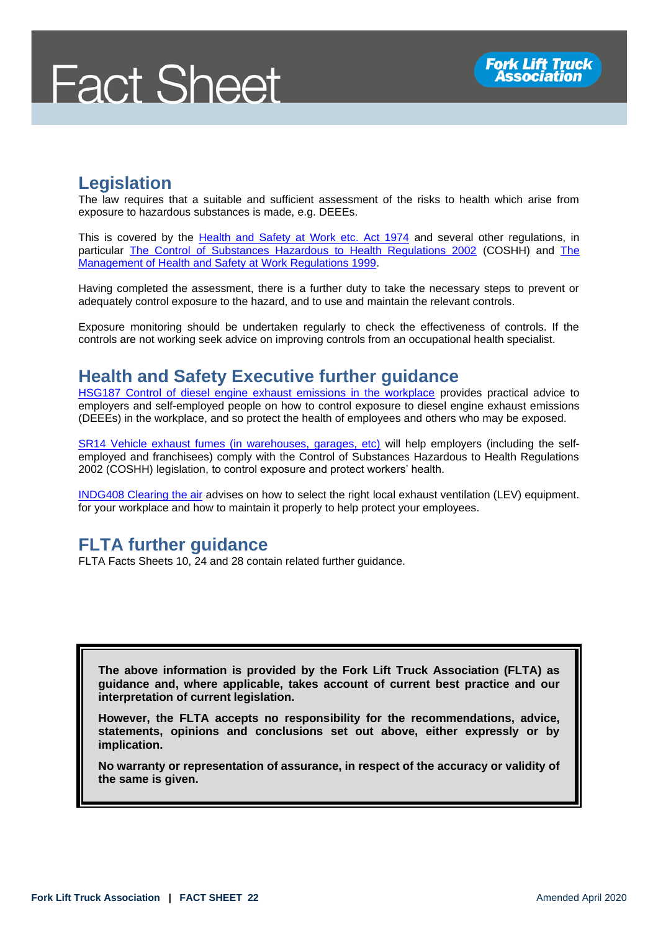# **Legislation**

The law requires that a suitable and sufficient assessment of the risks to health which arise from exposure to hazardous substances is made, e.g. DEEEs.

This is covered by the [Health and Safety at Work etc. Act 1974](http://www.legislation.gov.uk/ukpga/1974/37/contents) and several other regulations, in particular [The Control of Substances Hazardous to Health Regulations 2002](http://www.legislation.gov.uk/uksi/2002/2677/contents) (COSHH) and [The](http://www.legislation.gov.uk/uksi/1999/3242/contents/made)  [Management of Health and Safety at Work Regulations 1999.](http://www.legislation.gov.uk/uksi/1999/3242/contents/made)

Having completed the assessment, there is a further duty to take the necessary steps to prevent or adequately control exposure to the hazard, and to use and maintain the relevant controls.

Exposure monitoring should be undertaken regularly to check the effectiveness of controls. If the controls are not working seek advice on improving controls from an occupational health specialist.

#### **Health and Safety Executive further guidance**

[HSG187 Control of diesel engine exhaust emissions in the workplace](https://www.hse.gov.uk/pubns/priced/hsg187.pdf) provides practical advice to employers and self-employed people on how to control exposure to diesel engine exhaust emissions (DEEEs) in the workplace, and so protect the health of employees and others who may be exposed.

[SR14 Vehicle exhaust fumes \(in warehouses, garages, etc\)](https://www.hse.gov.uk/pubns/guidance/sr14.pdf) will help employers (including the selfemployed and franchisees) comply with the Control of Substances Hazardous to Health Regulations 2002 (COSHH) legislation, to control exposure and protect workers' health.

[INDG408 Clearing](https://www.hse.gov.uk/pubns/indg408.pdf) the air advises on how to select the right local exhaust ventilation (LEV) equipment. for your workplace and how to maintain it properly to help protect your employees.

# **FLTA further guidance**

FLTA Facts Sheets 10, 24 and 28 contain related further guidance.

**The above information is provided by the Fork Lift Truck Association (FLTA) as guidance and, where applicable, takes account of current best practice and our interpretation of current legislation.** 

**However, the FLTA accepts no responsibility for the recommendations, advice, statements, opinions and conclusions set out above, either expressly or by implication.**

**No warranty or representation of assurance, in respect of the accuracy or validity of the same is given.**